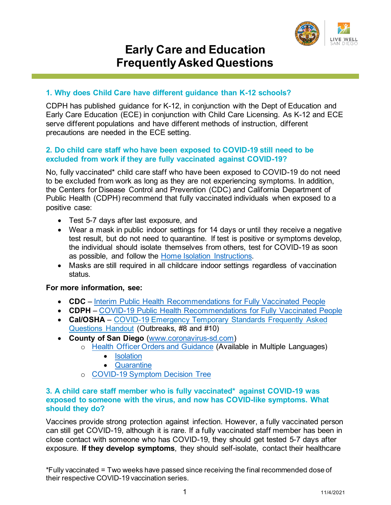

# **Early Care and Education Frequently Asked Questions**

## **1. Why does Child Care have different guidance than K-12 schools?**

CDPH has published guidance for K-12, in conjunction with the Dept of Education and Early Care Education (ECE) in conjunction with Child Care Licensing. As K-12 and ECE serve different populations and have different methods of instruction, different precautions are needed in the ECE setting.

## **2. Do child care staff who have been exposed to COVID-19 still need to be excluded from work if they are fully vaccinated against COVID-19?**

No, fully vaccinated\* child care staff who have been exposed to COVID-19 do not need to be excluded from work as long as they are not experiencing symptoms. In addition, the Centers for Disease Control and Prevention (CDC) and California Department of Public Health (CDPH) recommend that fully vaccinated individuals when exposed to a positive case:

- Test 5-7 days after last exposure, and
- Wear a mask in public indoor settings for 14 days or until they receive a negative test result, but do not need to quarantine. If test is positive or symptoms develop, the individual should isolate themselves from others, test for COVID-19 as soon as possible, and follow the [Home Isolation Instructions.](https://www.sandiegocounty.gov/content/dam/sdc/hhsa/programs/phs/Epidemiology/COVID%20Home%20Isolation%20Instructions%20for%20COVID-19.pdf)
- Masks are still required in all childcare indoor settings regardless of vaccination status.

## **For more information, see:**

- **CDC** [Interim Public Health Recommendations for Fully Vaccinated People](https://www.cdc.gov/coronavirus/2019-ncov/vaccines/fully-vaccinated-guidance.html)
- **CDPH**  [COVID-19 Public Health Recommendations for Fully Vaccinated People](https://www.cdph.ca.gov/Programs/CID/DCDC/Pages/COVID-19/COVID-19-Public-Health-Recommendations-for-Fully-Vaccinated-People.aspx)
- **Cal/OSHA** [COVID-19 Emergency Temporary Standards Frequently Asked](https://www.dir.ca.gov/dosh/coronavirus/COVID19FAQs.pdf) [Questions](https://www.dir.ca.gov/dosh/coronavirus/COVID19FAQs.pdf) Handout (Outbreaks, #8 and #10)
- **County of San Diego** [\(www.coronavirus-sd.com\)](http://www.coronavirus-sd.com/)
	- o Health Officer [Orders and Guidance](https://www.sandiegocounty.gov/content/sdc/hhsa/programs/phs/community_epidemiology/dc/2019-nCoV/health-order.html) (Available in Multiple Languages)
		- [Isolation](https://www.sandiegocounty.gov/content/dam/sdc/hhsa/programs/phs/Epidemiology/covid19/HealthOfficerOrder-Isolation.pdf)
		- [Quarantine](https://www.sandiegocounty.gov/content/dam/sdc/hhsa/programs/phs/Epidemiology/covid19/HealthOfficerOrder-Quarantine.pdf)
	- o COVID-19 Symptom Decision Tree

## **3. A child care staff member who is fully vaccinated\* against COVID-19 was exposed to someone with the virus, and now has COVID-like symptoms. What should they do?**

Vaccines provide strong protection against infection. However, a fully vaccinated person can still get COVID-19, although it is rare. If a fully vaccinated staff member has been in close contact with someone who has COVID-19, they should get tested 5-7 days after exposure. **If they develop symptoms**, they should self-isolate, contact their healthcare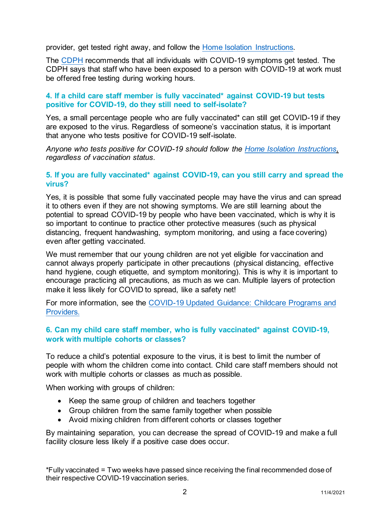provider, get tested right away, and follow the [Home Isolation Instructions.](https://www.sandiegocounty.gov/content/dam/sdc/hhsa/programs/phs/Epidemiology/COVID%20Home%20Isolation%20Instructions%20for%20COVID-19.pdf) 

The [CDPH](https://www.cdss.ca.gov/inforesources/cdss-programs/community-care-licensing/child-care-licensing/covid-19-child-care-resources/faqs-for-licensed-child-care-facilities-and-providers) recommends that all individuals with COVID-19 symptoms get tested. The CDPH says that staff who have been exposed to a person with COVID-19 at work must be offered free testing during working hours.

## **4. If a child care staff member is fully vaccinated\* against COVID-19 but tests positive for COVID-19, do they still need to self-isolate?**

Yes, a small percentage people who are fully vaccinated\* can still get COVID-19 if they are exposed to the virus. Regardless of someone's vaccination status, it is important that anyone who tests positive for COVID-19 self-isolate.

*Anyone who tests positive for COVID-19 should follow the [Home Isolation Instructions,](https://www.sandiegocounty.gov/content/dam/sdc/hhsa/programs/phs/Epidemiology/COVID%20Home%20Isolation%20Instructions%20for%20COVID-19.pdf) regardless of vaccination status.*

## **5. If you are fully vaccinated\* against COVID-19, can you still carry and spread the virus?**

Yes, it is possible that some fully vaccinated people may have the virus and can spread it to others even if they are not showing symptoms. We are still learning about the potential to spread COVID-19 by people who have been vaccinated, which is why it is so important to continue to practice other protective measures (such as physical distancing, frequent handwashing, symptom monitoring, and using a face covering) even after getting vaccinated.

We must remember that our young children are not yet eligible for vaccination and cannot always properly participate in other precautions (physical distancing, effective hand hygiene, cough etiquette, and symptom monitoring). This is why it is important to encourage practicing all precautions, as much as we can. Multiple layers of protection make it less likely for COVID to spread, like a safety net!

For more information, see the COVID-19 Updated [Guidance: Childcare Programs and](https://www.cdph.ca.gov/Programs/CID/DCDC/Pages/COVID-19/Child-Care-Guidance.aspx)  [Providers.](https://www.cdph.ca.gov/Programs/CID/DCDC/Pages/COVID-19/Child-Care-Guidance.aspx)

## **6. Can my child care staff member, who is fully vaccinated\* against COVID-19, work with multiple cohorts or classes?**

To reduce a child's potential exposure to the virus, it is best to limit the number of people with whom the children come into contact. Child care staff members should not work with multiple cohorts or classes as much as possible.

When working with groups of children:

- Keep the same group of children and teachers together
- Group children from the same family together when possible
- Avoid mixing children from different cohorts or classes together

By maintaining separation, you can decrease the spread of COVID-19 and make a full facility closure less likely if a positive case does occur.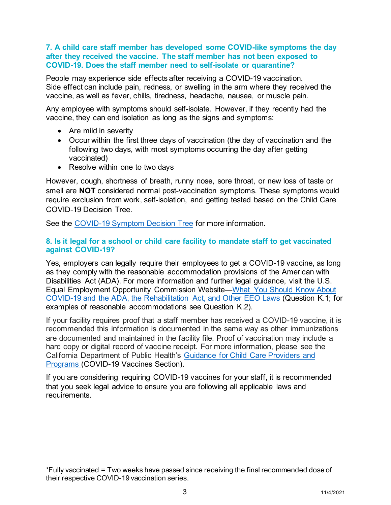#### **7. A child care staff member has developed some COVID-like symptoms the day after they received the vaccine. The staff member has not been exposed to COVID-19. Does the staff member need to self-isolate or quarantine?**

People may experience side effects after receiving a COVID-19 vaccination. Side effect can include pain, redness, or swelling in the arm where they received the vaccine, as well as fever, chills, tiredness, headache, nausea, or muscle pain.

Any employee with symptoms should self-isolate. However, if they recently had the vaccine, they can end isolation as long as the signs and symptoms:

- Are mild in severity
- Occur within the first three days of vaccination (the day of vaccination and the following two days, with most symptoms occurring the day after getting vaccinated)
- Resolve within one to two days

However, cough, shortness of breath, runny nose, sore throat, or new loss of taste or smell are **NOT** considered normal post-vaccination symptoms. These symptoms would require exclusion from work, self-isolation, and getting tested based on the Child Care COVID-19 Decision Tree.

See the [COVID-19 Symptom Decision Tree](https://www.sandiegocounty.gov/content/dam/sdc/hhsa/programs/phs/Epidemiology/covid19/Community_Sector_Support/ChildCareServices/Childcare%20COVID%20Decision%20Tree.pdf) for more information.

## **8. Is it legal for a school or child care facility to mandate staff to get vaccinated against COVID-19?**

Yes, employers can legally require their employees to get a COVID-19 vaccine, as long as they comply with the reasonable accommodation provisions of the American with Disabilities Act (ADA). For more information and further legal guidance, visit the U.S. Equal Employment Opportunity Commission Website—[What You Should Know About](https://www.eeoc.gov/wysk/what-you-should-know-about-covid-19-and-ada-rehabilitation-act-and-other-eeo-laws)  [COVID-19 and the ADA, the Rehabilitation Act, and Other EEO Laws](https://www.eeoc.gov/wysk/what-you-should-know-about-covid-19-and-ada-rehabilitation-act-and-other-eeo-laws) (Question K.1; for examples of reasonable accommodations see Question K.2).

If your facility requires proof that a staff member has received a COVID-19 vaccine, it is recommended this information is documented in the same way as other immunizations are documented and maintained in the facility file. Proof of vaccination may include a hard copy or digital record of vaccine receipt. For more information, please see the California Department of Public Health's [Guidance for Child Care Providers and](https://www.cdph.ca.gov/Programs/CID/DCDC/Pages/COVID-19/Child-Care-Guidance.aspx)  [Programs](https://www.cdph.ca.gov/Programs/CID/DCDC/Pages/COVID-19/Child-Care-Guidance.aspx) (COVID-19 Vaccines Section).

If you are considering requiring COVID-19 vaccines for your staff, it is recommended that you seek legal advice to ensure you are following all applicable laws and requirements.